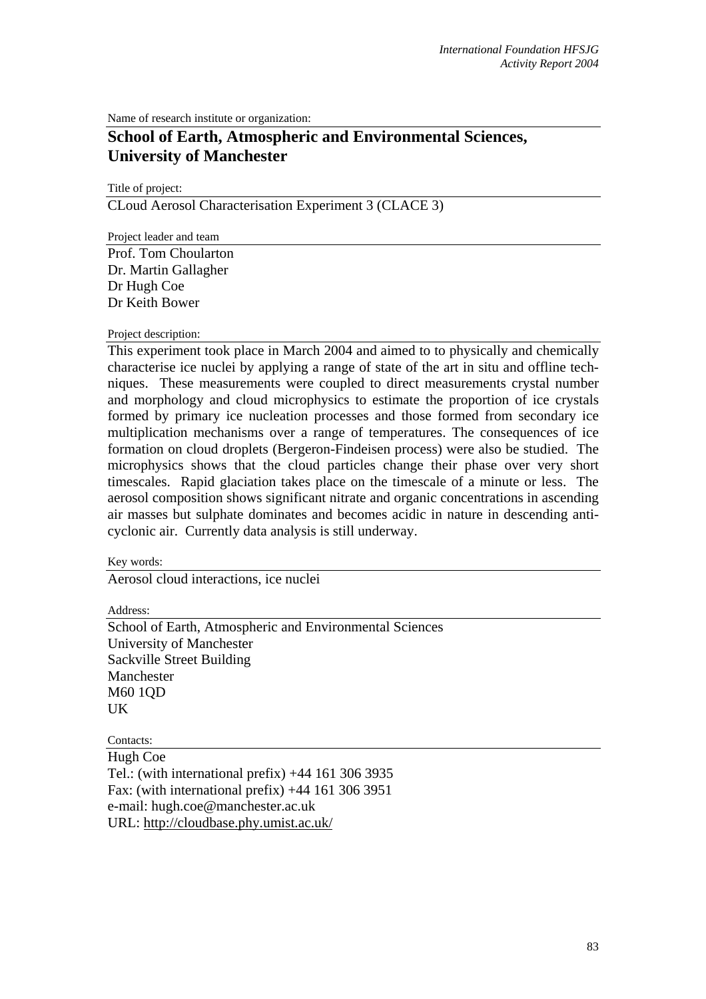Name of research institute or organization:

## **School of Earth, Atmospheric and Environmental Sciences, University of Manchester**

Title of project: CLoud Aerosol Characterisation Experiment 3 (CLACE 3)

Project leader and team

Prof. Tom Choularton Dr. Martin Gallagher Dr Hugh Coe Dr Keith Bower

## Project description:

This experiment took place in March 2004 and aimed to to physically and chemically characterise ice nuclei by applying a range of state of the art in situ and offline techniques. These measurements were coupled to direct measurements crystal number and morphology and cloud microphysics to estimate the proportion of ice crystals formed by primary ice nucleation processes and those formed from secondary ice multiplication mechanisms over a range of temperatures. The consequences of ice formation on cloud droplets (Bergeron-Findeisen process) were also be studied. The microphysics shows that the cloud particles change their phase over very short timescales. Rapid glaciation takes place on the timescale of a minute or less. The aerosol composition shows significant nitrate and organic concentrations in ascending air masses but sulphate dominates and becomes acidic in nature in descending anticyclonic air. Currently data analysis is still underway.

Key words:

Aerosol cloud interactions, ice nuclei

Address:

School of Earth, Atmospheric and Environmental Sciences University of Manchester Sackville Street Building Manchester M60 1QD UK

Contacts: Hugh Coe Tel.: (with international prefix) +44 161 306 3935 Fax: (with international prefix)  $+44$  161 306 3951 e-mail: hugh.coe@manchester.ac.uk URL:<http://cloudbase.phy.umist.ac.uk/>